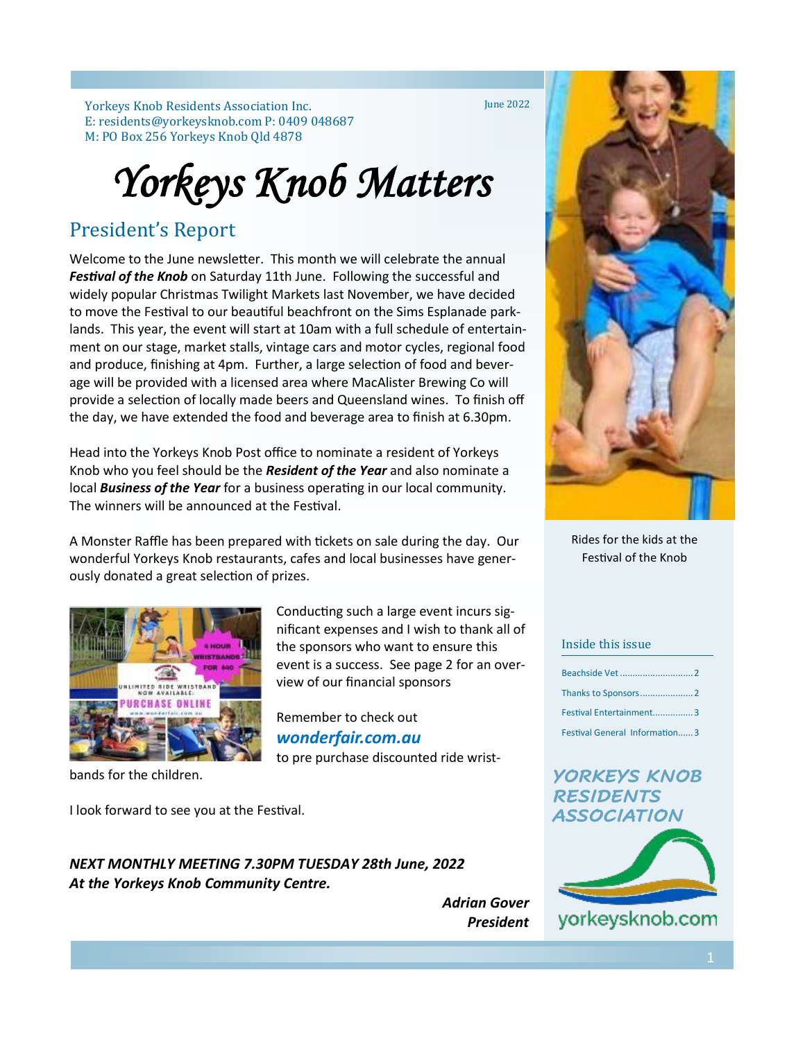Yorkeys Knob Residents Association Inc. E: residents@yorkeysknob.com P: 0409 048687 M: PO Box 256 Yorkeys Knob Qld 4878

June 2022

# *Yorkeys Knob Matters*

### President's Report

Welcome to the June newsletter. This month we will celebrate the annual *Festival of the Knob* on Saturday 11th June. Following the successful and widely popular Christmas Twilight Markets last November, we have decided to move the Festival to our beautiful beachfront on the Sims Esplanade parklands. This year, the event will start at 10am with a full schedule of entertainment on our stage, market stalls, vintage cars and motor cycles, regional food and produce, finishing at 4pm. Further, a large selection of food and beverage will be provided with a licensed area where MacAlister Brewing Co will provide a selection of locally made beers and Queensland wines. To finish off the day, we have extended the food and beverage area to finish at 6.30pm.

Head into the Yorkeys Knob Post office to nominate a resident of Yorkeys Knob who you feel should be the *Resident of the Year* and also nominate a local *Business of the Year* for a business operating in our local community. The winners will be announced at the Festival.

A Monster Raffle has been prepared with tickets on sale during the day. Our wonderful Yorkeys Knob restaurants, cafes and local businesses have generously donated a great selection of prizes.

> Conducting such a large event incurs significant expenses and I wish to thank all of the sponsors who want to ensure this event is a success. See page 2 for an over-

to pre purchase discounted ride wrist-

view of our financial sponsors

Remember to check out *wonderfair.com.au* 



bands for the children.

I look forward to see you at the Festival.

*NEXT MONTHLY MEETING 7.30PM TUESDAY 28th June, 2022 At the Yorkeys Knob Community Centre.*



Rides for the kids at the Festival of the Knob

### Inside this issue

| Festival Entertainment3       |
|-------------------------------|
| Festival General Information3 |

### *YORKEYS KNOB RESIDENTS ASSOCIATION*



*Adrian Gover President*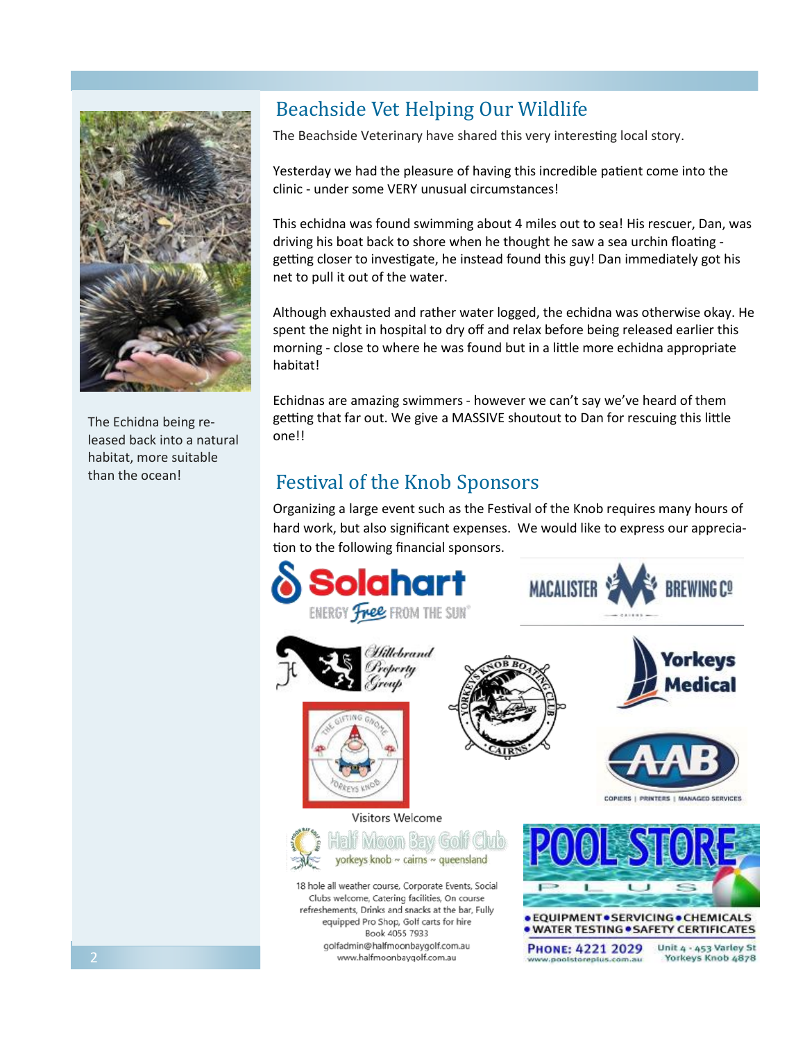

The Echidna being released back into a natural habitat, more suitable than the ocean!

### Beachside Vet Helping Our Wildlife

The Beachside Veterinary have shared this very interesting local story.

Yesterday we had the pleasure of having this incredible patient come into the clinic - under some VERY unusual circumstances!

This echidna was found swimming about 4 miles out to sea! His rescuer, Dan, was driving his boat back to shore when he thought he saw a sea urchin floating getting closer to investigate, he instead found this guy! Dan immediately got his net to pull it out of the water.

Although exhausted and rather water logged, the echidna was otherwise okay. He spent the night in hospital to dry off and relax before being released earlier this morning - close to where he was found but in a little more echidna appropriate habitat!

Echidnas are amazing swimmers - however we can't say we've heard of them getting that far out. We give a MASSIVE shoutout to Dan for rescuing this little one!!

### Festival of the Knob Sponsors

Organizing a large event such as the Festival of the Knob requires many hours of hard work, but also significant expenses. We would like to express our appreciation to the following financial sponsors.

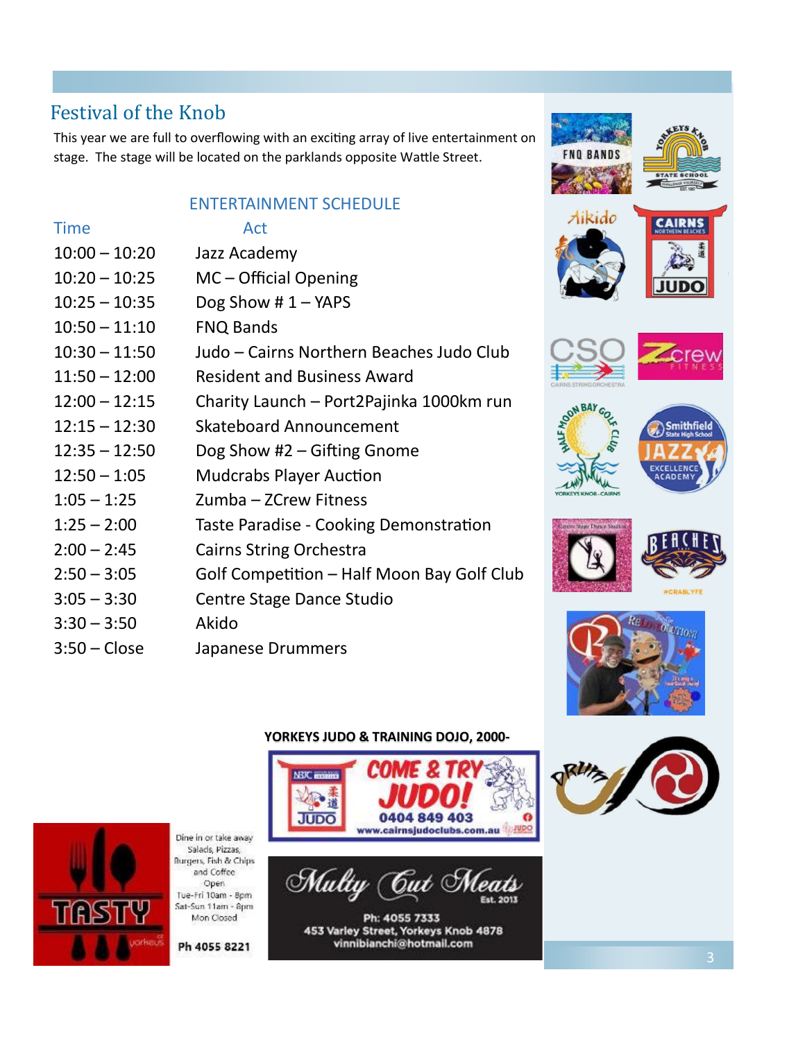### Festival of the Knob

This year we are full to overflowing with an exciting array of live entertainment on stage. The stage will be located on the parklands opposite Wattle Street.

### ENTERTAINMENT SCHEDULE

### Time Act



- 10:00 10:20 Jazz Academy
- 10:20 10:25 MC Official Opening
- 10:25 10:35 Dog Show # 1 YAPS
- 10:50 11:10 FNQ Bands
- 10:30 11:50 Judo Cairns Northern Beaches Judo Club
- 11:50 12:00 Resident and Business Award
- 12:00 12:15 Charity Launch Port2Pajinka 1000km run
- 12:15 12:30 Skateboard Announcement
- 12:35 12:50 Dog Show #2 Gifting Gnome
- 12:50 1:05 Mudcrabs Player Auction
- 1:05 1:25 Zumba ZCrew Fitness
- 1:25 2:00 Taste Paradise Cooking Demonstration
- 2:00 2:45 Cairns String Orchestra
- 2:50 3:05 Golf Competition Half Moon Bay Golf Club
- 3:05 3:30 Centre Stage Dance Studio
- 3:30 3:50 Akido
- 3:50 Close Japanese Drummers

# **Smithfield**

Aikido









Dine in or take away Salads, Pizzas, Burgers, Fish & Chips and Coffee Open Tue-Fri 10am - 8pm Sat-Sun 11am - 8pm Mon Closed

Ph 4055 8221